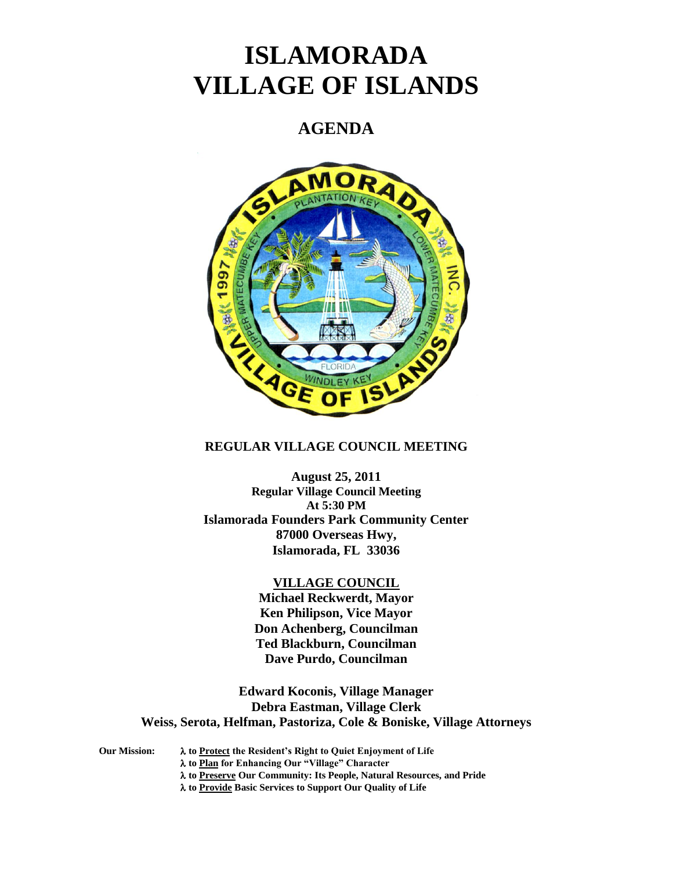# **ISLAMORADA VILLAGE OF ISLANDS**

## **AGENDA**



### **REGULAR VILLAGE COUNCIL MEETING**

**August 25, 2011 Regular Village Council Meeting At 5:30 PM Islamorada Founders Park Community Center 87000 Overseas Hwy, Islamorada, FL 33036**

#### **VILLAGE COUNCIL**

**Michael Reckwerdt, Mayor Ken Philipson, Vice Mayor Don Achenberg, Councilman Ted Blackburn, Councilman Dave Purdo, Councilman**

**Edward Koconis, Village Manager Debra Eastman, Village Clerk Weiss, Serota, Helfman, Pastoriza, Cole & Boniske, Village Attorneys**

**Our Mission: to Protect the Resident's Right to Quiet Enjoyment of Life to Plan for Enhancing Our "Village" Character to Preserve Our Community: Its People, Natural Resources, and Pride to Provide Basic Services to Support Our Quality of Life**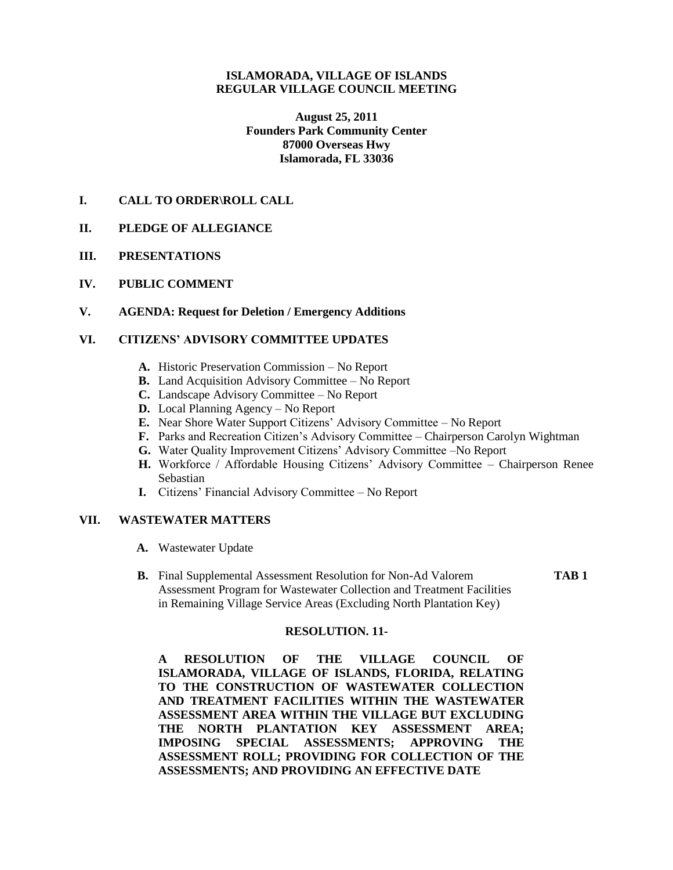#### **ISLAMORADA, VILLAGE OF ISLANDS REGULAR VILLAGE COUNCIL MEETING**

**August 25, 2011 Founders Park Community Center 87000 Overseas Hwy Islamorada, FL 33036**

#### **I. CALL TO ORDER\ROLL CALL**

#### **II. PLEDGE OF ALLEGIANCE**

- **III. PRESENTATIONS**
- **IV. PUBLIC COMMENT**

#### **V. AGENDA: Request for Deletion / Emergency Additions**

#### **VI. CITIZENS' ADVISORY COMMITTEE UPDATES**

- **A.** Historic Preservation Commission No Report
- **B.** Land Acquisition Advisory Committee No Report
- **C.** Landscape Advisory Committee No Report
- **D.** Local Planning Agency No Report
- **E.** Near Shore Water Support Citizens' Advisory Committee No Report
- **F.** Parks and Recreation Citizen's Advisory Committee Chairperson Carolyn Wightman
- **G.** Water Quality Improvement Citizens' Advisory Committee –No Report
- **H.** Workforce / Affordable Housing Citizens' Advisory Committee Chairperson Renee Sebastian
- **I.** Citizens' Financial Advisory Committee No Report

#### **VII. WASTEWATER MATTERS**

- **A.** Wastewater Update
- **B.** Final Supplemental Assessment Resolution for Non-Ad Valorem **TAB 1** Assessment Program for Wastewater Collection and Treatment Facilities in Remaining Village Service Areas (Excluding North Plantation Key)

#### **RESOLUTION. 11-**

**A RESOLUTION OF THE VILLAGE COUNCIL OF ISLAMORADA, VILLAGE OF ISLANDS, FLORIDA, RELATING TO THE CONSTRUCTION OF WASTEWATER COLLECTION AND TREATMENT FACILITIES WITHIN THE WASTEWATER ASSESSMENT AREA WITHIN THE VILLAGE BUT EXCLUDING THE NORTH PLANTATION KEY ASSESSMENT AREA; IMPOSING SPECIAL ASSESSMENTS; APPROVING THE ASSESSMENT ROLL; PROVIDING FOR COLLECTION OF THE ASSESSMENTS; AND PROVIDING AN EFFECTIVE DATE**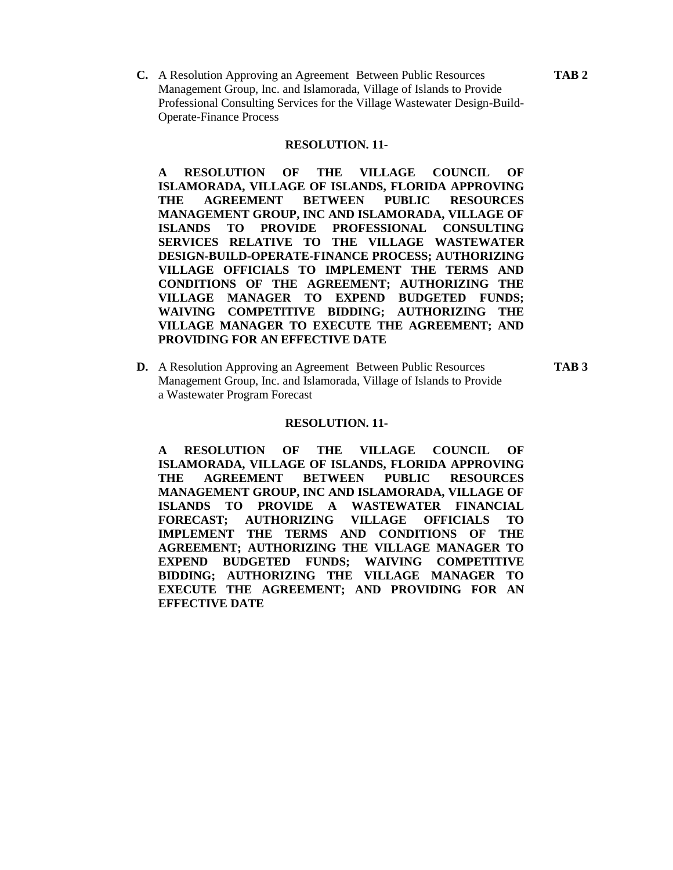**C.** A Resolution Approving an Agreement Between Public Resources **TAB 2** Management Group, Inc. and Islamorada, Village of Islands to Provide Professional Consulting Services for the Village Wastewater Design-Build-Operate-Finance Process

#### **RESOLUTION. 11-**

**A RESOLUTION OF THE VILLAGE COUNCIL OF ISLAMORADA, VILLAGE OF ISLANDS, FLORIDA APPROVING THE AGREEMENT BETWEEN PUBLIC RESOURCES MANAGEMENT GROUP, INC AND ISLAMORADA, VILLAGE OF ISLANDS TO PROVIDE PROFESSIONAL CONSULTING SERVICES RELATIVE TO THE VILLAGE WASTEWATER DESIGN-BUILD-OPERATE-FINANCE PROCESS; AUTHORIZING VILLAGE OFFICIALS TO IMPLEMENT THE TERMS AND CONDITIONS OF THE AGREEMENT; AUTHORIZING THE VILLAGE MANAGER TO EXPEND BUDGETED FUNDS; WAIVING COMPETITIVE BIDDING; AUTHORIZING THE VILLAGE MANAGER TO EXECUTE THE AGREEMENT; AND PROVIDING FOR AN EFFECTIVE DATE**

**D.** A Resolution Approving an Agreement Between Public Resources **TAB 3** Management Group, Inc. and Islamorada, Village of Islands to Provide a Wastewater Program Forecast

#### **RESOLUTION. 11-**

**A RESOLUTION OF THE VILLAGE COUNCIL OF ISLAMORADA, VILLAGE OF ISLANDS, FLORIDA APPROVING THE AGREEMENT BETWEEN PUBLIC RESOURCES MANAGEMENT GROUP, INC AND ISLAMORADA, VILLAGE OF ISLANDS TO PROVIDE A WASTEWATER FINANCIAL FORECAST; AUTHORIZING VILLAGE OFFICIALS TO IMPLEMENT THE TERMS AND CONDITIONS OF THE AGREEMENT; AUTHORIZING THE VILLAGE MANAGER TO EXPEND BUDGETED FUNDS; WAIVING COMPETITIVE BIDDING; AUTHORIZING THE VILLAGE MANAGER TO EXECUTE THE AGREEMENT; AND PROVIDING FOR AN EFFECTIVE DATE**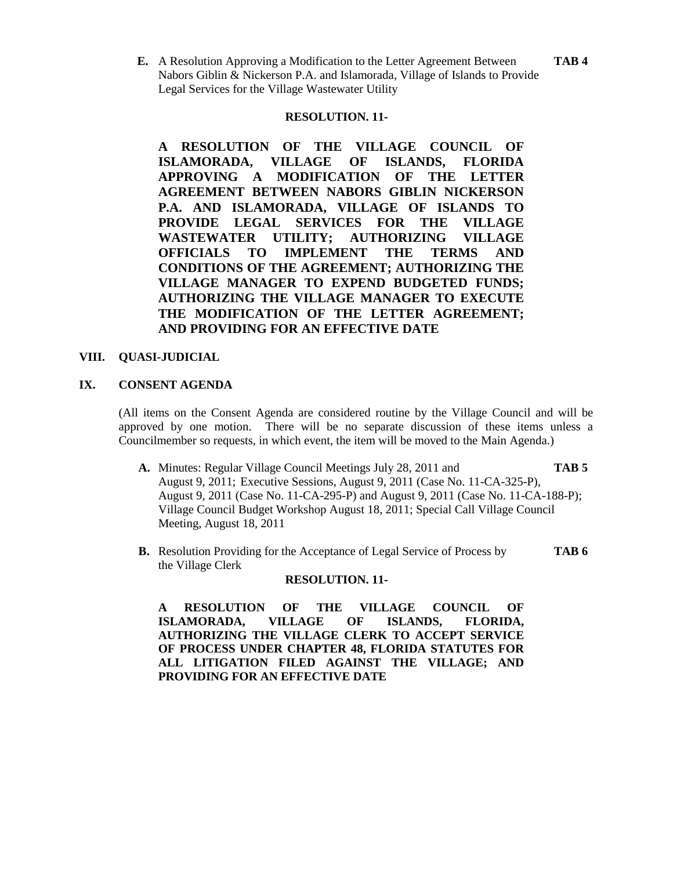**E.** A Resolution Approving a Modification to the Letter Agreement Between **TAB 4** Nabors Giblin & Nickerson P.A. and Islamorada, Village of Islands to Provide Legal Services for the Village Wastewater Utility

#### **RESOLUTION. 11-**

**A RESOLUTION OF THE VILLAGE COUNCIL OF ISLAMORADA, VILLAGE OF ISLANDS, FLORIDA APPROVING A MODIFICATION OF THE LETTER AGREEMENT BETWEEN NABORS GIBLIN NICKERSON P.A. AND ISLAMORADA, VILLAGE OF ISLANDS TO PROVIDE LEGAL SERVICES FOR THE VILLAGE WASTEWATER UTILITY; AUTHORIZING VILLAGE OFFICIALS TO IMPLEMENT THE TERMS AND CONDITIONS OF THE AGREEMENT; AUTHORIZING THE VILLAGE MANAGER TO EXPEND BUDGETED FUNDS; AUTHORIZING THE VILLAGE MANAGER TO EXECUTE THE MODIFICATION OF THE LETTER AGREEMENT; AND PROVIDING FOR AN EFFECTIVE DATE**

#### **VIII. QUASI-JUDICIAL**

#### **IX. CONSENT AGENDA**

(All items on the Consent Agenda are considered routine by the Village Council and will be approved by one motion. There will be no separate discussion of these items unless a Councilmember so requests, in which event, the item will be moved to the Main Agenda.)

- **A.** Minutes: Regular Village Council Meetings July 28, 2011 and **TAB 5** August 9, 2011; Executive Sessions, August 9, 2011 (Case No. 11-CA-325-P), August 9, 2011 (Case No. 11-CA-295-P) and August 9, 2011 (Case No. 11-CA-188-P); Village Council Budget Workshop August 18, 2011; Special Call Village Council Meeting, August 18, 2011
- **B.** Resolution Providing for the Acceptance of Legal Service of Process by **TAB 6** the Village Clerk

#### **RESOLUTION. 11-**

**A RESOLUTION OF THE VILLAGE COUNCIL OF ISLAMORADA, VILLAGE OF ISLANDS, FLORIDA, AUTHORIZING THE VILLAGE CLERK TO ACCEPT SERVICE OF PROCESS UNDER CHAPTER 48, FLORIDA STATUTES FOR ALL LITIGATION FILED AGAINST THE VILLAGE; AND PROVIDING FOR AN EFFECTIVE DATE**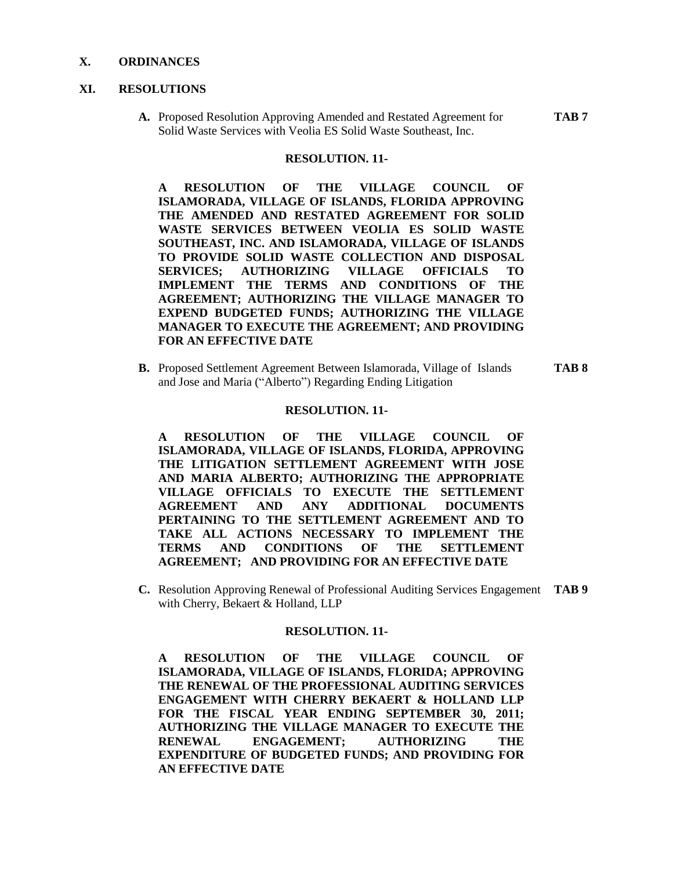#### **X. ORDINANCES**

#### **XI. RESOLUTIONS**

**A.** Proposed Resolution Approving Amended and Restated Agreement for **TAB 7** Solid Waste Services with Veolia ES Solid Waste Southeast, Inc.

#### **RESOLUTION. 11-**

**A RESOLUTION OF THE VILLAGE COUNCIL OF ISLAMORADA, VILLAGE OF ISLANDS, FLORIDA APPROVING THE AMENDED AND RESTATED AGREEMENT FOR SOLID WASTE SERVICES BETWEEN VEOLIA ES SOLID WASTE SOUTHEAST, INC. AND ISLAMORADA, VILLAGE OF ISLANDS TO PROVIDE SOLID WASTE COLLECTION AND DISPOSAL SERVICES; AUTHORIZING VILLAGE OFFICIALS TO IMPLEMENT THE TERMS AND CONDITIONS OF THE AGREEMENT; AUTHORIZING THE VILLAGE MANAGER TO EXPEND BUDGETED FUNDS; AUTHORIZING THE VILLAGE MANAGER TO EXECUTE THE AGREEMENT; AND PROVIDING FOR AN EFFECTIVE DATE**

**B.** Proposed Settlement Agreement Between Islamorada, Village of Islands **TAB 8** and Jose and Maria ("Alberto") Regarding Ending Litigation

#### **RESOLUTION. 11-**

**A RESOLUTION OF THE VILLAGE COUNCIL OF ISLAMORADA, VILLAGE OF ISLANDS, FLORIDA, APPROVING THE LITIGATION SETTLEMENT AGREEMENT WITH JOSE AND MARIA ALBERTO; AUTHORIZING THE APPROPRIATE VILLAGE OFFICIALS TO EXECUTE THE SETTLEMENT AGREEMENT AND ANY ADDITIONAL DOCUMENTS PERTAINING TO THE SETTLEMENT AGREEMENT AND TO TAKE ALL ACTIONS NECESSARY TO IMPLEMENT THE TERMS AND CONDITIONS OF THE SETTLEMENT AGREEMENT; AND PROVIDING FOR AN EFFECTIVE DATE**

**C.** Resolution Approving Renewal of Professional Auditing Services Engagement **TAB 9** with Cherry, Bekaert & Holland, LLP

#### **RESOLUTION. 11-**

**A RESOLUTION OF THE VILLAGE COUNCIL OF ISLAMORADA, VILLAGE OF ISLANDS, FLORIDA; APPROVING THE RENEWAL OF THE PROFESSIONAL AUDITING SERVICES ENGAGEMENT WITH CHERRY BEKAERT & HOLLAND LLP**  FOR THE FISCAL YEAR ENDING SEPTEMBER 30, 2011; **AUTHORIZING THE VILLAGE MANAGER TO EXECUTE THE RENEWAL ENGAGEMENT; AUTHORIZING THE EXPENDITURE OF BUDGETED FUNDS; AND PROVIDING FOR AN EFFECTIVE DATE**